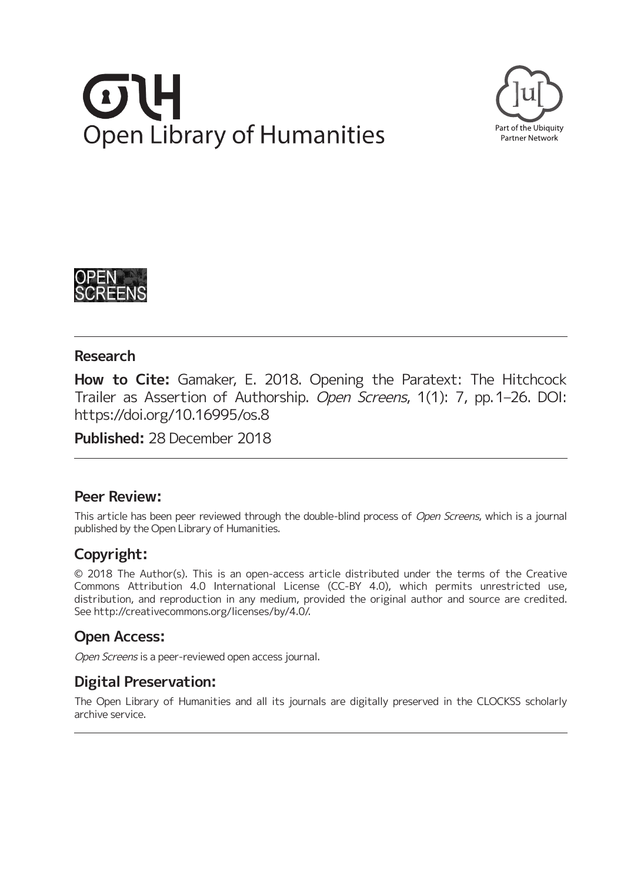# **Open Library of Humanities**





# **Research**

**How to Cite:** Gamaker, E. 2018. Opening the Paratext: The Hitchcock Trailer as Assertion of Authorship. Open Screens, 1(1): 7, pp. 1–26. DOI: https://doi.org/10.16995/os.8

**Published:** 28 December 2018

# **Peer Review:**

This article has been peer reviewed through the double-blind process of Open Screens, which is a journal published by the Open Library of Humanities.

# **Copyright:**

© 2018 The Author(s). This is an open-access article distributed under the terms of the Creative Commons Attribution 4.0 International License (CC-BY 4.0), which permits unrestricted use, distribution, and reproduction in any medium, provided the original author and source are credited. See http://creativecommons.org/licenses/by/4.0/.

# **Open Access:**

Open Screens is a peer-reviewed open access journal.

# **Digital Preservation:**

The Open Library of Humanities and all its journals are digitally preserved in the CLOCKSS scholarly archive service.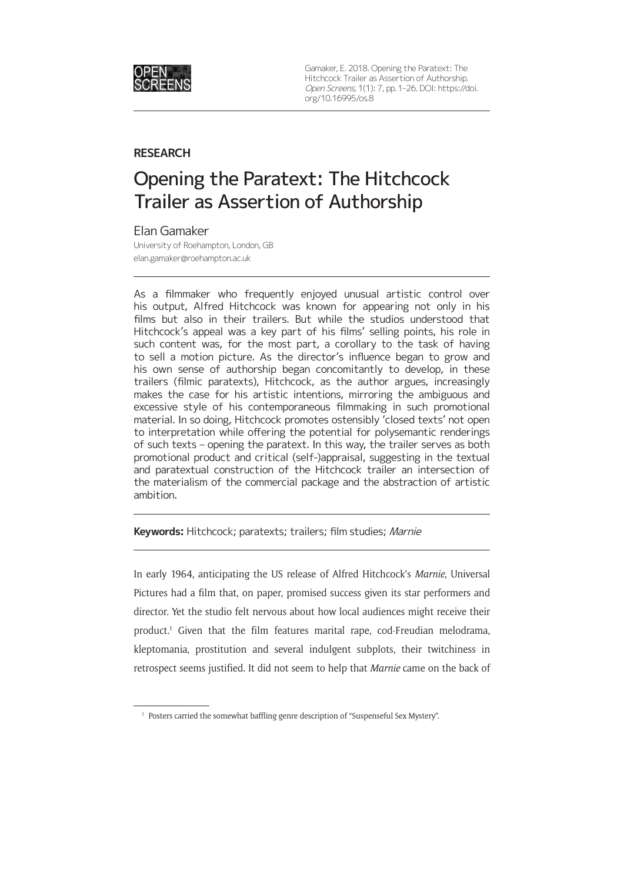

Gamaker, E. 2018. Opening the Paratext: The Hitchcock Trailer as Assertion of Authorship. Open Screens, 1(1): 7, pp. 1–26. DOI: https://doi. org/10.16995/os.8

### **RESEARCH**

# Opening the Paratext: The Hitchcock Trailer as Assertion of Authorship

### Elan Gamaker

University of Roehampton, London, GB elan.gamaker@roehampton.ac.uk

As a filmmaker who frequently enjoyed unusual artistic control over his output, Alfred Hitchcock was known for appearing not only in his films but also in their trailers. But while the studios understood that Hitchcock's appeal was a key part of his films' selling points, his role in such content was, for the most part, a corollary to the task of having to sell a motion picture. As the director's influence began to grow and his own sense of authorship began concomitantly to develop, in these trailers (filmic paratexts), Hitchcock, as the author argues, increasingly makes the case for his artistic intentions, mirroring the ambiguous and excessive style of his contemporaneous filmmaking in such promotional material. In so doing, Hitchcock promotes ostensibly 'closed texts' not open to interpretation while offering the potential for polysemantic renderings of such texts – opening the paratext. In this way, the trailer serves as both promotional product and critical (self-)appraisal, suggesting in the textual and paratextual construction of the Hitchcock trailer an intersection of the materialism of the commercial package and the abstraction of artistic ambition.

**Keywords:** Hitchcock; paratexts; trailers; film studies; Marnie

In early 1964, anticipating the US release of Alfred Hitchcock's *Marnie,* Universal Pictures had a film that, on paper, promised success given its star performers and director. Yet the studio felt nervous about how local audiences might receive their product.1 Given that the film features marital rape, cod-Freudian melodrama, kleptomania, prostitution and several indulgent subplots, their twitchiness in retrospect seems justified. It did not seem to help that *Marnie* came on the back of

<sup>&</sup>lt;sup>1</sup> Posters carried the somewhat baffling genre description of "Suspenseful Sex Mystery".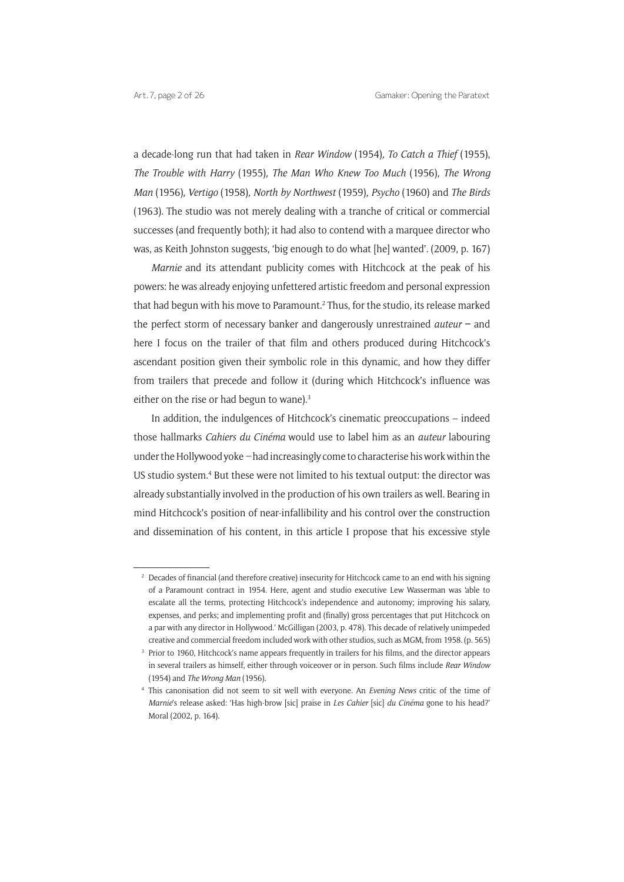a decade-long run that had taken in *Rear Window* (1954)*, To Catch a Thief* (1955), *The Trouble with Harry* (1955)*, The Man Who Knew Too Much* (1956)*, The Wrong Man* (1956)*, Vertigo* (1958)*, North by Northwest* (1959)*, Psycho* (1960) and *The Birds*  (1963). The studio was not merely dealing with a tranche of critical or commercial successes (and frequently both); it had also to contend with a marquee director who was, as Keith Johnston suggests, 'big enough to do what [he] wanted'. (2009, p. 167)

*Marnie* and its attendant publicity comes with Hitchcock at the peak of his powers: he was already enjoying unfettered artistic freedom and personal expression that had begun with his move to Paramount.<sup>2</sup> Thus, for the studio, its release marked the perfect storm of necessary banker and dangerously unrestrained *auteur* **–** and here I focus on the trailer of that film and others produced during Hitchcock's ascendant position given their symbolic role in this dynamic, and how they differ from trailers that precede and follow it (during which Hitchcock's influence was either on the rise or had begun to wane).<sup>3</sup>

In addition, the indulgences of Hitchcock's cinematic preoccupations – indeed those hallmarks *Cahiers du Cinéma* would use to label him as an *auteur* labouring under the Hollywood yoke *–* had increasingly come to characterise his work within the US studio system.<sup>4</sup> But these were not limited to his textual output: the director was already substantially involved in the production of his own trailers as well. Bearing in mind Hitchcock's position of near-infallibility and his control over the construction and dissemination of his content, in this article I propose that his excessive style

<sup>&</sup>lt;sup>2</sup> Decades of financial (and therefore creative) insecurity for Hitchcock came to an end with his signing of a Paramount contract in 1954. Here, agent and studio executive Lew Wasserman was 'able to escalate all the terms, protecting Hitchcock's independence and autonomy; improving his salary, expenses, and perks; and implementing profit and (finally) gross percentages that put Hitchcock on a par with any director in Hollywood.' McGilligan (2003, p. 478). This decade of relatively unimpeded creative and commercial freedom included work with other studios, such as MGM, from 1958. (p. 565)

<sup>&</sup>lt;sup>3</sup> Prior to 1960, Hitchcock's name appears frequently in trailers for his films, and the director appears in several trailers as himself, either through voiceover or in person. Such films include *Rear Window*  (1954) and *The Wrong Man* (1956).

<sup>4</sup> This canonisation did not seem to sit well with everyone. An *Evening News* critic of the time of *Marnie*'s release asked: 'Has high-brow [sic] praise in *Les Cahier* [sic] *du Cinéma* gone to his head?' Moral (2002, p. 164).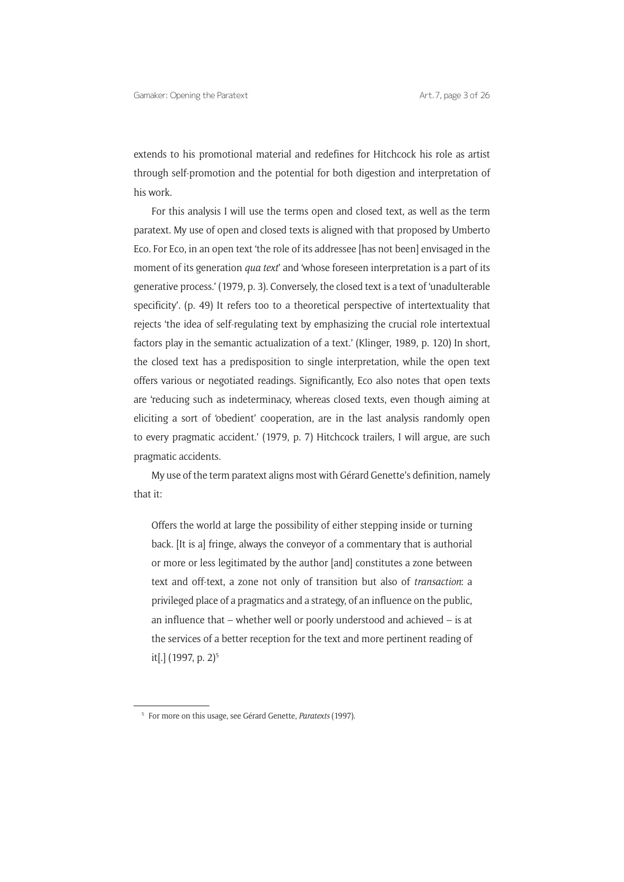extends to his promotional material and redefines for Hitchcock his role as artist through self-promotion and the potential for both digestion and interpretation of his work.

For this analysis I will use the terms open and closed text, as well as the term paratext. My use of open and closed texts is aligned with that proposed by Umberto Eco. For Eco, in an open text 'the role of its addressee [has not been] envisaged in the moment of its generation *qua text*' and 'whose foreseen interpretation is a part of its generative process.' (1979, p. 3). Conversely, the closed text is a text of 'unadulterable specificity'. (p. 49) It refers too to a theoretical perspective of intertextuality that rejects 'the idea of self-regulating text by emphasizing the crucial role intertextual factors play in the semantic actualization of a text.' (Klinger, 1989, p. 120) In short, the closed text has a predisposition to single interpretation, while the open text offers various or negotiated readings. Significantly, Eco also notes that open texts are 'reducing such as indeterminacy, whereas closed texts, even though aiming at eliciting a sort of 'obedient' cooperation, are in the last analysis randomly open to every pragmatic accident.' (1979, p. 7) Hitchcock trailers, I will argue, are such pragmatic accidents.

My use of the term paratext aligns most with Gérard Genette's definition, namely that it:

Offers the world at large the possibility of either stepping inside or turning back. [It is a] fringe, always the conveyor of a commentary that is authorial or more or less legitimated by the author [and] constitutes a zone between text and off-text, a zone not only of transition but also of *transaction*: a privileged place of a pragmatics and a strategy, of an influence on the public, an influence that – whether well or poorly understood and achieved – is at the services of a better reception for the text and more pertinent reading of it[.] (1997, p. 2)<sup>5</sup>

<sup>5</sup> For more on this usage, see Gérard Genette, *Paratexts* (1997).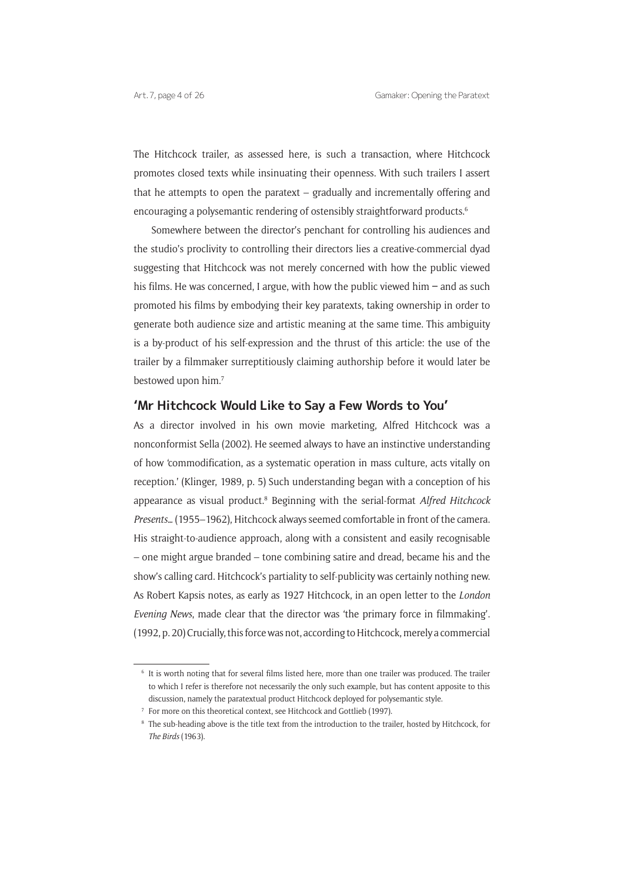The Hitchcock trailer, as assessed here, is such a transaction, where Hitchcock promotes closed texts while insinuating their openness. With such trailers I assert that he attempts to open the paratext – gradually and incrementally offering and encouraging a polysemantic rendering of ostensibly straightforward products.<sup>6</sup>

Somewhere between the director's penchant for controlling his audiences and the studio's proclivity to controlling their directors lies a creative-commercial dyad suggesting that Hitchcock was not merely concerned with how the public viewed his films. He was concerned, I argue, with how the public viewed him **–** and as such promoted his films by embodying their key paratexts, taking ownership in order to generate both audience size and artistic meaning at the same time. This ambiguity is a by-product of his self-expression and the thrust of this article: the use of the trailer by a filmmaker surreptitiously claiming authorship before it would later be bestowed upon him.7

### **'Mr Hitchcock Would Like to Say a Few Words to You'**

As a director involved in his own movie marketing, Alfred Hitchcock was a nonconformist Sella (2002). He seemed always to have an instinctive understanding of how 'commodification, as a systematic operation in mass culture, acts vitally on reception.' (Klinger, 1989, p. 5) Such understanding began with a conception of his appearance as visual product.<sup>8</sup> Beginning with the serial-format *Alfred Hitchcock Presents…* (1955–1962), Hitchcock always seemed comfortable in front of the camera. His straight-to-audience approach, along with a consistent and easily recognisable – one might argue branded – tone combining satire and dread, became his and the show's calling card. Hitchcock's partiality to self-publicity was certainly nothing new. As Robert Kapsis notes, as early as 1927 Hitchcock, in an open letter to the *London Evening News*, made clear that the director was 'the primary force in filmmaking'. (1992, p. 20) Crucially, this force was not, according to Hitchcock, merely a commercial

<sup>6</sup> It is worth noting that for several films listed here, more than one trailer was produced. The trailer to which I refer is therefore not necessarily the only such example, but has content apposite to this discussion, namely the paratextual product Hitchcock deployed for polysemantic style.

<sup>7</sup> For more on this theoretical context, see Hitchcock and Gottlieb (1997).

<sup>8</sup> The sub-heading above is the title text from the introduction to the trailer, hosted by Hitchcock, for *The Birds* (1963).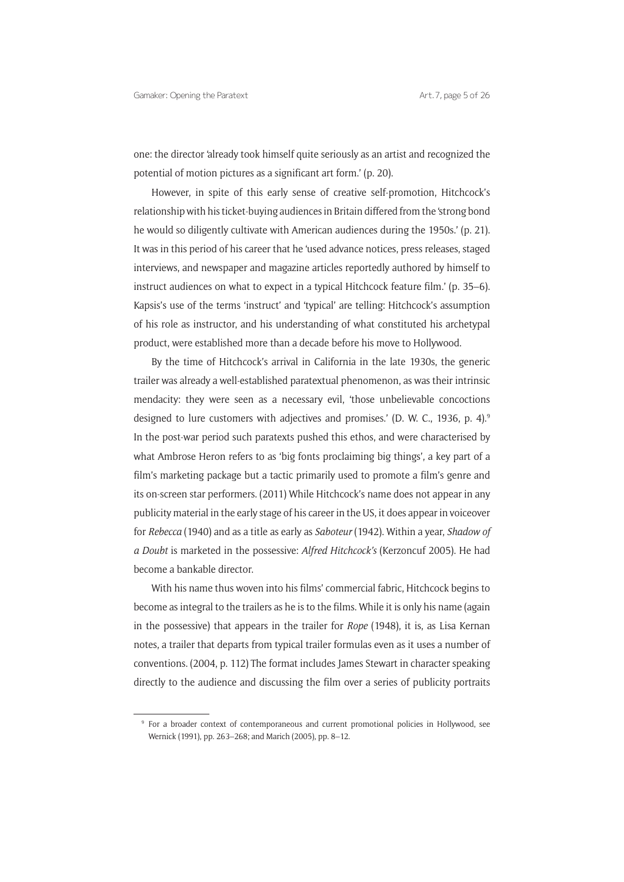one: the director 'already took himself quite seriously as an artist and recognized the potential of motion pictures as a significant art form.' (p. 20).

However, in spite of this early sense of creative self-promotion, Hitchcock's relationship with his ticket-buying audiences in Britain differed from the 'strong bond he would so diligently cultivate with American audiences during the 1950s.' (p. 21). It was in this period of his career that he 'used advance notices, press releases, staged interviews, and newspaper and magazine articles reportedly authored by himself to instruct audiences on what to expect in a typical Hitchcock feature film.' (p. 35–6). Kapsis's use of the terms 'instruct' and 'typical' are telling: Hitchcock's assumption of his role as instructor, and his understanding of what constituted his archetypal product, were established more than a decade before his move to Hollywood.

By the time of Hitchcock's arrival in California in the late 1930s, the generic trailer was already a well-established paratextual phenomenon, as was their intrinsic mendacity: they were seen as a necessary evil, 'those unbelievable concoctions designed to lure customers with adjectives and promises.' (D. W. C., 1936, p. 4).<sup>9</sup> In the post-war period such paratexts pushed this ethos, and were characterised by what Ambrose Heron refers to as 'big fonts proclaiming big things', a key part of a film's marketing package but a tactic primarily used to promote a film's genre and its on-screen star performers. (2011) While Hitchcock's name does not appear in any publicity material in the early stage of his career in the US, it does appear in voiceover for *Rebecca* (1940) and as a title as early as *Saboteur* (1942). Within a year, *Shadow of a Doubt* is marketed in the possessive: *Alfred Hitchcock's* (Kerzoncuf 2005). He had become a bankable director.

With his name thus woven into his films' commercial fabric, Hitchcock begins to become as integral to the trailers as he is to the films. While it is only his name (again in the possessive) that appears in the trailer for *Rope* (1948), it is, as Lisa Kernan notes, a trailer that departs from typical trailer formulas even as it uses a number of conventions. (2004, p. 112) The format includes James Stewart in character speaking directly to the audience and discussing the film over a series of publicity portraits

<sup>&</sup>lt;sup>9</sup> For a broader context of contemporaneous and current promotional policies in Hollywood, see Wernick (1991), pp. 263–268; and Marich (2005), pp. 8–12.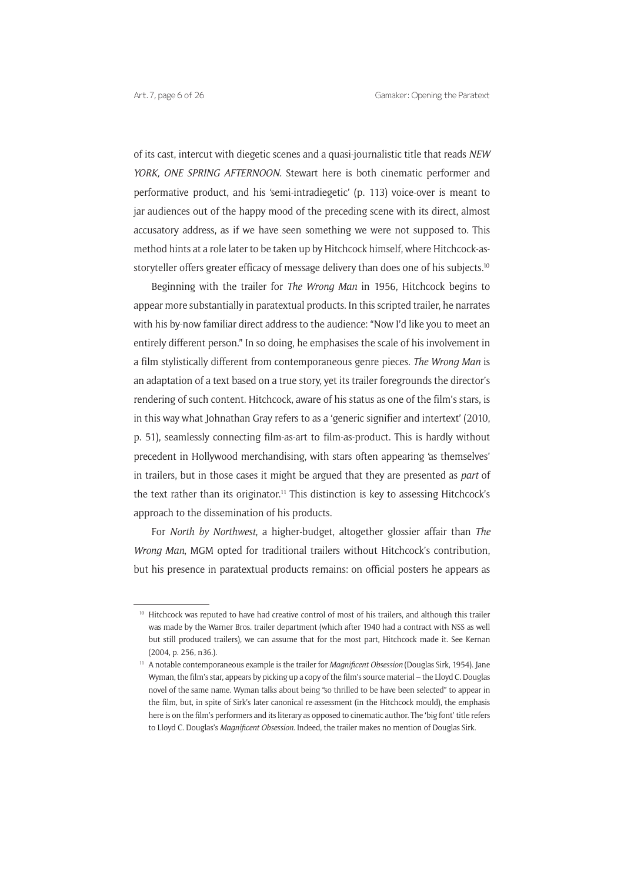of its cast, intercut with diegetic scenes and a quasi-journalistic title that reads *NEW YORK, ONE SPRING AFTERNOON*. Stewart here is both cinematic performer and performative product, and his 'semi-intradiegetic' (p. 113) voice-over is meant to jar audiences out of the happy mood of the preceding scene with its direct, almost accusatory address, as if we have seen something we were not supposed to. This method hints at a role later to be taken up by Hitchcock himself, where Hitchcock-asstoryteller offers greater efficacy of message delivery than does one of his subjects.<sup>10</sup>

Beginning with the trailer for *The Wrong Man* in 1956, Hitchcock begins to appear more substantially in paratextual products. In this scripted trailer, he narrates with his by-now familiar direct address to the audience: "Now I'd like you to meet an entirely different person." In so doing, he emphasises the scale of his involvement in a film stylistically different from contemporaneous genre pieces. *The Wrong Man* is an adaptation of a text based on a true story, yet its trailer foregrounds the director's rendering of such content. Hitchcock, aware of his status as one of the film's stars, is in this way what Johnathan Gray refers to as a 'generic signifier and intertext' (2010, p. 51), seamlessly connecting film-as-art to film-as-product. This is hardly without precedent in Hollywood merchandising, with stars often appearing 'as themselves' in trailers, but in those cases it might be argued that they are presented as *part* of the text rather than its originator.<sup>11</sup> This distinction is key to assessing Hitchcock's approach to the dissemination of his products.

For *North by Northwest*, a higher-budget, altogether glossier affair than *The Wrong Man*, MGM opted for traditional trailers without Hitchcock's contribution, but his presence in paratextual products remains: on official posters he appears as

<sup>&</sup>lt;sup>10</sup> Hitchcock was reputed to have had creative control of most of his trailers, and although this trailer was made by the Warner Bros. trailer department (which after 1940 had a contract with NSS as well but still produced trailers), we can assume that for the most part, Hitchcock made it. See Kernan (2004, p. 256, n36.).

<sup>11</sup> A notable contemporaneous example is the trailer for *Magnificent Obsession* (Douglas Sirk, 1954). Jane Wyman, the film's star, appears by picking up a copy of the film's source material – the Lloyd C. Douglas novel of the same name. Wyman talks about being "so thrilled to be have been selected" to appear in the film, but, in spite of Sirk's later canonical re-assessment (in the Hitchcock mould), the emphasis here is on the film's performers and its literary as opposed to cinematic author. The 'big font' title refers to Lloyd C. Douglas's *Magnificent Obsession.* Indeed, the trailer makes no mention of Douglas Sirk.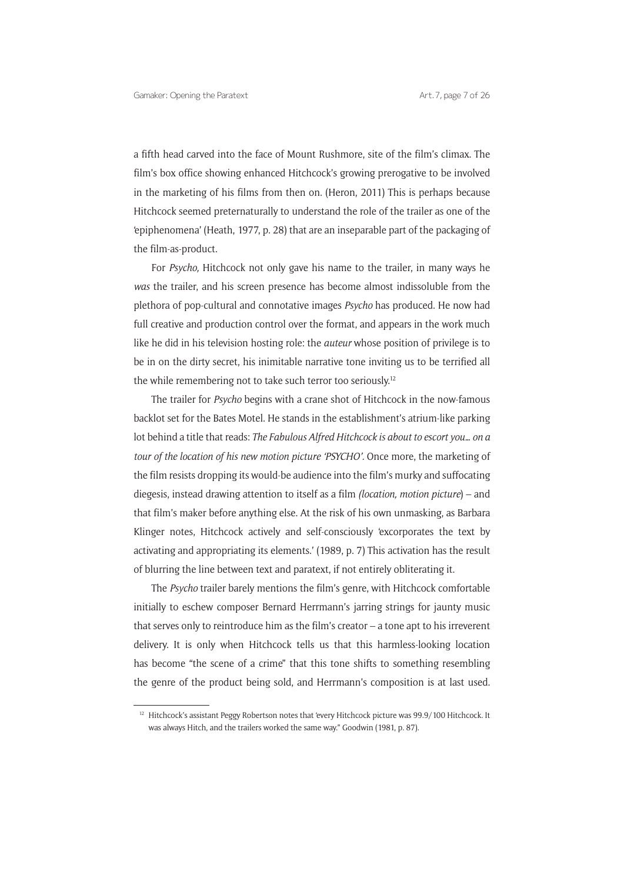a fifth head carved into the face of Mount Rushmore, site of the film's climax. The film's box office showing enhanced Hitchcock's growing prerogative to be involved in the marketing of his films from then on. (Heron, 2011) This is perhaps because Hitchcock seemed preternaturally to understand the role of the trailer as one of the 'epiphenomena' (Heath, 1977, p. 28) that are an inseparable part of the packaging of the film-as-product.

For *Psycho,* Hitchcock not only gave his name to the trailer, in many ways he *was* the trailer, and his screen presence has become almost indissoluble from the plethora of pop-cultural and connotative images *Psycho* has produced. He now had full creative and production control over the format, and appears in the work much like he did in his television hosting role: the *auteur* whose position of privilege is to be in on the dirty secret, his inimitable narrative tone inviting us to be terrified all the while remembering not to take such terror too seriously.<sup>12</sup>

The trailer for *Psycho* begins with a crane shot of Hitchcock in the now-famous backlot set for the Bates Motel. He stands in the establishment's atrium-like parking lot behind a title that reads: *The Fabulous Alfred Hitchcock is about to escort you… on a tour of the location of his new motion picture 'PSYCHO'.* Once more, the marketing of the film resists dropping its would-be audience into the film's murky and suffocating diegesis, instead drawing attention to itself as a film *(location, motion picture*) – and that film's maker before anything else. At the risk of his own unmasking, as Barbara Klinger notes, Hitchcock actively and self-consciously 'excorporates the text by activating and appropriating its elements.' (1989, p. 7) This activation has the result of blurring the line between text and paratext, if not entirely obliterating it.

The *Psycho* trailer barely mentions the film's genre, with Hitchcock comfortable initially to eschew composer Bernard Herrmann's jarring strings for jaunty music that serves only to reintroduce him as the film's creator – a tone apt to his irreverent delivery. It is only when Hitchcock tells us that this harmless-looking location has become "the scene of a crime" that this tone shifts to something resembling the genre of the product being sold, and Herrmann's composition is at last used.

<sup>&</sup>lt;sup>12</sup> Hitchcock's assistant Peggy Robertson notes that 'every Hitchcock picture was 99.9/100 Hitchcock. It was always Hitch, and the trailers worked the same way." Goodwin (1981, p. 87).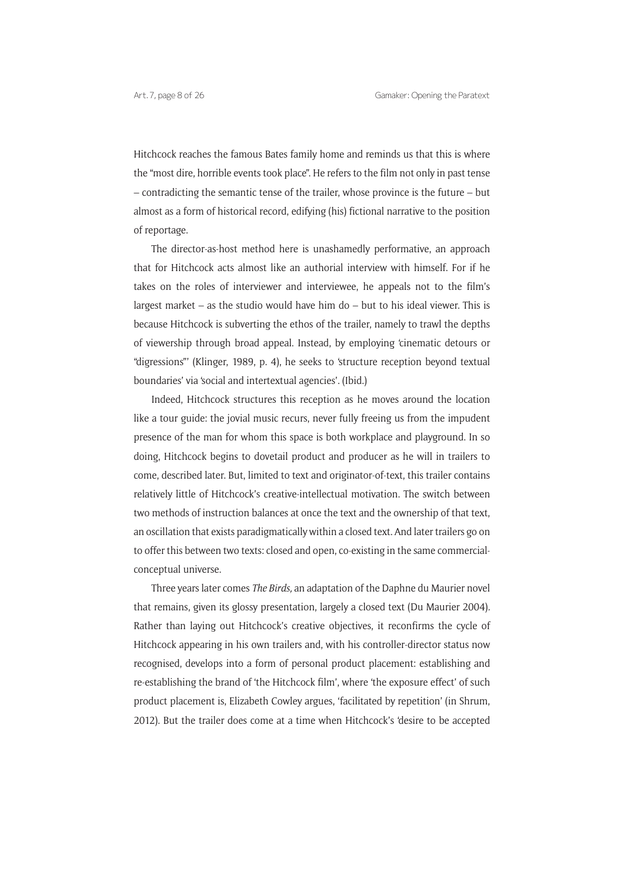Hitchcock reaches the famous Bates family home and reminds us that this is where the "most dire, horrible events took place". He refers to the film not only in past tense – contradicting the semantic tense of the trailer, whose province is the future – but almost as a form of historical record, edifying (his) fictional narrative to the position of reportage.

The director-as-host method here is unashamedly performative, an approach that for Hitchcock acts almost like an authorial interview with himself. For if he takes on the roles of interviewer and interviewee, he appeals not to the film's largest market – as the studio would have him do – but to his ideal viewer. This is because Hitchcock is subverting the ethos of the trailer, namely to trawl the depths of viewership through broad appeal. Instead, by employing 'cinematic detours or "digressions"' (Klinger, 1989, p. 4), he seeks to 'structure reception beyond textual boundaries' via 'social and intertextual agencies'. (Ibid.)

Indeed, Hitchcock structures this reception as he moves around the location like a tour guide: the jovial music recurs, never fully freeing us from the impudent presence of the man for whom this space is both workplace and playground. In so doing, Hitchcock begins to dovetail product and producer as he will in trailers to come, described later. But, limited to text and originator-of-text, this trailer contains relatively little of Hitchcock's creative-intellectual motivation. The switch between two methods of instruction balances at once the text and the ownership of that text, an oscillation that exists paradigmatically within a closed text. And later trailers go on to offer this between two texts: closed and open, co-existing in the same commercialconceptual universe.

Three years later comes *The Birds,* an adaptation of the Daphne du Maurier novel that remains, given its glossy presentation, largely a closed text (Du Maurier 2004)*.*  Rather than laying out Hitchcock's creative objectives, it reconfirms the cycle of Hitchcock appearing in his own trailers and, with his controller-director status now recognised, develops into a form of personal product placement: establishing and re-establishing the brand of 'the Hitchcock film', where 'the exposure effect' of such product placement is, Elizabeth Cowley argues, 'facilitated by repetition' (in Shrum, 2012). But the trailer does come at a time when Hitchcock's 'desire to be accepted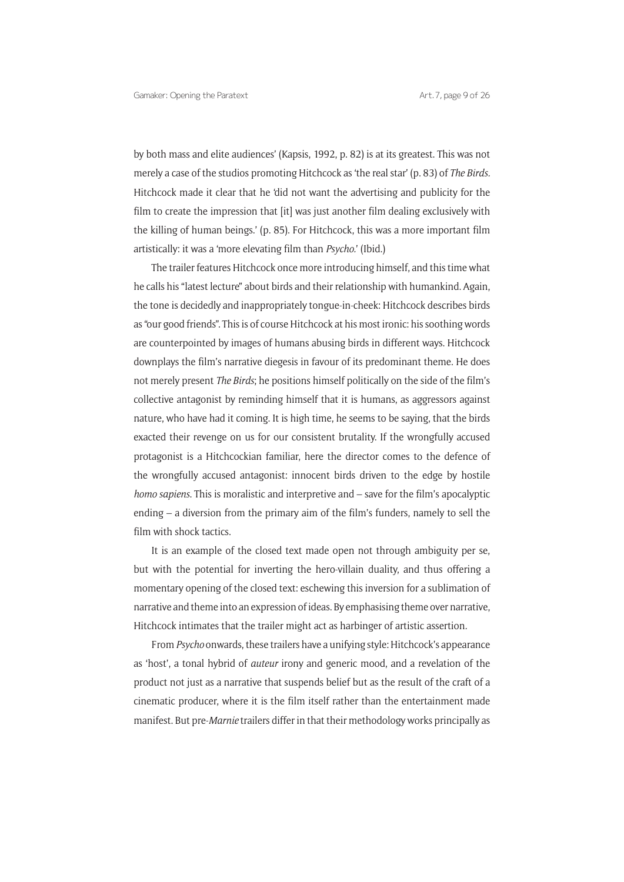by both mass and elite audiences' (Kapsis, 1992, p. 82) is at its greatest. This was not merely a case of the studios promoting Hitchcock as 'the real star' (p. 83) of *The Birds.*  Hitchcock made it clear that he 'did not want the advertising and publicity for the film to create the impression that [it] was just another film dealing exclusively with the killing of human beings.' (p. 85). For Hitchcock, this was a more important film artistically: it was a 'more elevating film than *Psycho.*' (Ibid.)

The trailer features Hitchcock once more introducing himself, and this time what he calls his "latest lecture" about birds and their relationship with humankind. Again, the tone is decidedly and inappropriately tongue-in-cheek: Hitchcock describes birds as "our good friends". This is of course Hitchcock at his most ironic: his soothing words are counterpointed by images of humans abusing birds in different ways. Hitchcock downplays the film's narrative diegesis in favour of its predominant theme. He does not merely present *The Birds*; he positions himself politically on the side of the film's collective antagonist by reminding himself that it is humans, as aggressors against nature, who have had it coming. It is high time, he seems to be saying, that the birds exacted their revenge on us for our consistent brutality. If the wrongfully accused protagonist is a Hitchcockian familiar, here the director comes to the defence of the wrongfully accused antagonist: innocent birds driven to the edge by hostile *homo sapiens*. This is moralistic and interpretive and – save for the film's apocalyptic ending – a diversion from the primary aim of the film's funders, namely to sell the film with shock tactics.

It is an example of the closed text made open not through ambiguity per se, but with the potential for inverting the hero-villain duality, and thus offering a momentary opening of the closed text: eschewing this inversion for a sublimation of narrative and theme into an expression of ideas. By emphasising theme over narrative, Hitchcock intimates that the trailer might act as harbinger of artistic assertion*.* 

From *Psycho* onwards, these trailers have a unifying style: Hitchcock's appearance as 'host', a tonal hybrid of *auteur* irony and generic mood, and a revelation of the product not just as a narrative that suspends belief but as the result of the craft of a cinematic producer, where it is the film itself rather than the entertainment made manifest. But pre-*Marnie* trailers differ in that their methodology works principally as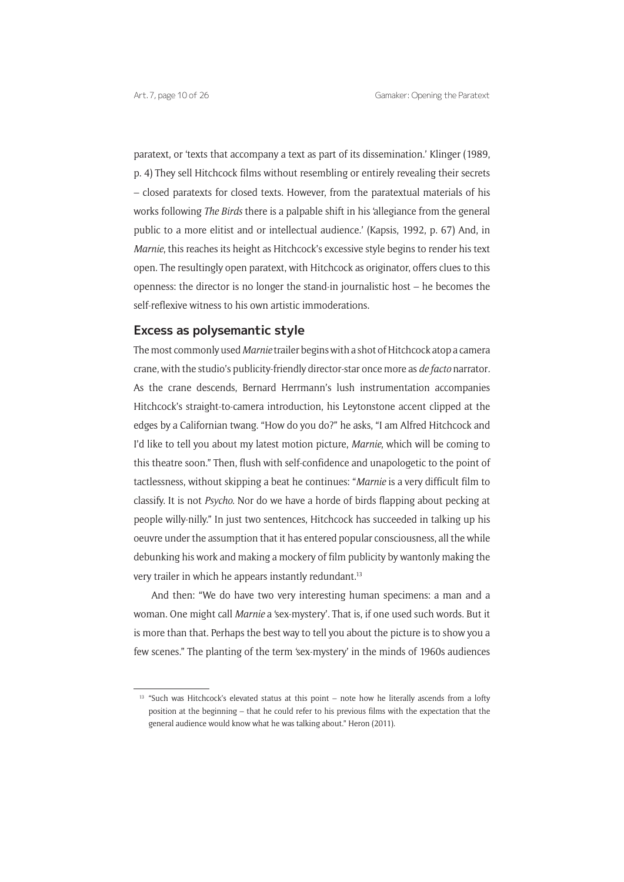paratext, or 'texts that accompany a text as part of its dissemination.' Klinger (1989, p. 4) They sell Hitchcock films without resembling or entirely revealing their secrets – closed paratexts for closed texts. However, from the paratextual materials of his works following *The Birds* there is a palpable shift in his 'allegiance from the general public to a more elitist and or intellectual audience.' (Kapsis, 1992, p. 67) And, in *Marnie*, this reaches its height as Hitchcock's excessive style begins to render his text open. The resultingly open paratext, with Hitchcock as originator, offers clues to this openness: the director is no longer the stand-in journalistic host – he becomes the self-reflexive witness to his own artistic immoderations.

### **Excess as polysemantic style**

The most commonly used *Marnie* trailer begins with a shot of Hitchcock atop a camera crane, with the studio's publicity-friendly director-star once more as *de facto* narrator*.*  As the crane descends, Bernard Herrmann's lush instrumentation accompanies Hitchcock's straight-to-camera introduction, his Leytonstone accent clipped at the edges by a Californian twang. "How do you do?" he asks, "I am Alfred Hitchcock and I'd like to tell you about my latest motion picture, *Marnie*, which will be coming to this theatre soon." Then, flush with self-confidence and unapologetic to the point of tactlessness, without skipping a beat he continues: "*Marnie* is a very difficult film to classify. It is not *Psycho*. Nor do we have a horde of birds flapping about pecking at people willy-nilly." In just two sentences, Hitchcock has succeeded in talking up his oeuvre under the assumption that it has entered popular consciousness, all the while debunking his work and making a mockery of film publicity by wantonly making the very trailer in which he appears instantly redundant.13

And then: "We do have two very interesting human specimens: a man and a woman. One might call *Marnie* a 'sex-mystery'. That is, if one used such words. But it is more than that. Perhaps the best way to tell you about the picture is to show you a few scenes." The planting of the term 'sex-mystery' in the minds of 1960s audiences

<sup>&</sup>lt;sup>13</sup> "Such was Hitchcock's elevated status at this point – note how he literally ascends from a lofty position at the beginning – that he could refer to his previous films with the expectation that the general audience would know what he was talking about." Heron (2011).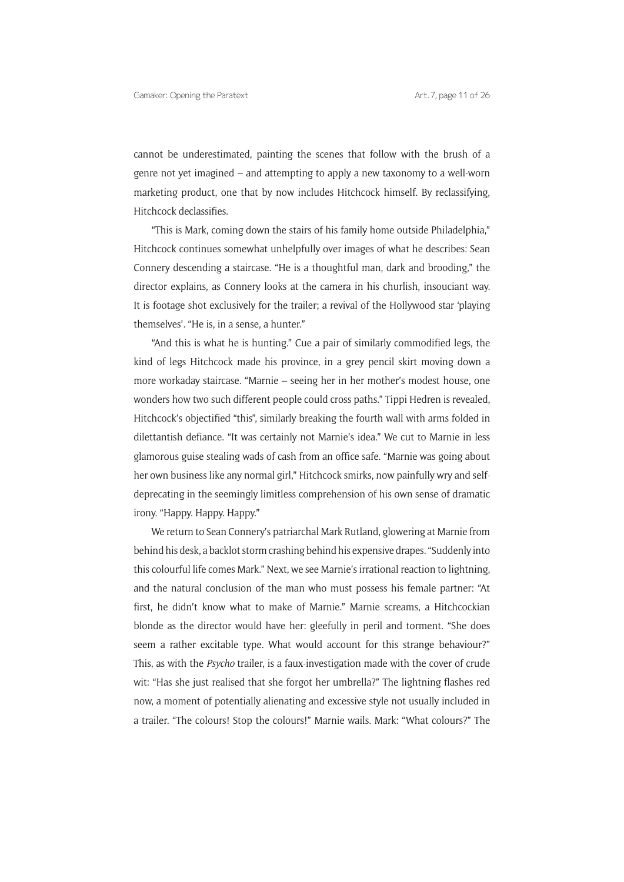cannot be underestimated, painting the scenes that follow with the brush of a genre not yet imagined – and attempting to apply a new taxonomy to a well-worn marketing product, one that by now includes Hitchcock himself. By reclassifying, Hitchcock declassifies.

"This is Mark, coming down the stairs of his family home outside Philadelphia," Hitchcock continues somewhat unhelpfully over images of what he describes: Sean Connery descending a staircase. "He is a thoughtful man, dark and brooding," the director explains, as Connery looks at the camera in his churlish, insouciant way. It is footage shot exclusively for the trailer; a revival of the Hollywood star 'playing themselves'. "He is, in a sense, a hunter."

"And this is what he is hunting." Cue a pair of similarly commodified legs, the kind of legs Hitchcock made his province, in a grey pencil skirt moving down a more workaday staircase. "Marnie – seeing her in her mother's modest house, one wonders how two such different people could cross paths." Tippi Hedren is revealed, Hitchcock's objectified "this", similarly breaking the fourth wall with arms folded in dilettantish defiance. "It was certainly not Marnie's idea." We cut to Marnie in less glamorous guise stealing wads of cash from an office safe. "Marnie was going about her own business like any normal girl," Hitchcock smirks, now painfully wry and selfdeprecating in the seemingly limitless comprehension of his own sense of dramatic irony. "Happy. Happy. Happy."

We return to Sean Connery's patriarchal Mark Rutland, glowering at Marnie from behind his desk, a backlot storm crashing behind his expensive drapes. "Suddenly into this colourful life comes Mark." Next, we see Marnie's irrational reaction to lightning, and the natural conclusion of the man who must possess his female partner: "At first, he didn't know what to make of Marnie." Marnie screams, a Hitchcockian blonde as the director would have her: gleefully in peril and torment. "She does seem a rather excitable type. What would account for this strange behaviour?" This, as with the *Psycho* trailer, is a faux-investigation made with the cover of crude wit: "Has she just realised that she forgot her umbrella?" The lightning flashes red now, a moment of potentially alienating and excessive style not usually included in a trailer. "The colours! Stop the colours!" Marnie wails. Mark: "What colours?" The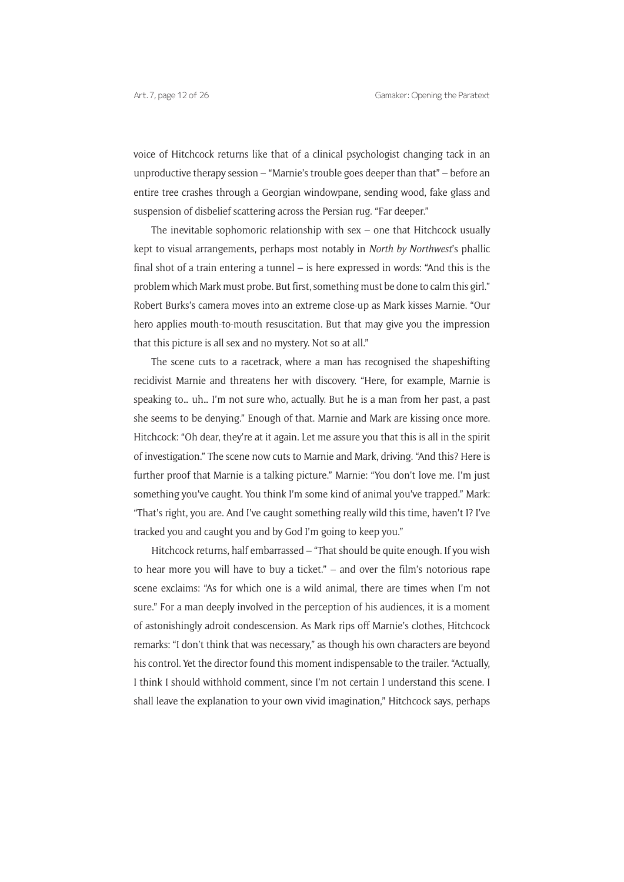voice of Hitchcock returns like that of a clinical psychologist changing tack in an unproductive therapy session – "Marnie's trouble goes deeper than that" – before an entire tree crashes through a Georgian windowpane, sending wood, fake glass and suspension of disbelief scattering across the Persian rug. "Far deeper."

The inevitable sophomoric relationship with sex – one that Hitchcock usually kept to visual arrangements, perhaps most notably in *North by Northwest*'s phallic final shot of a train entering a tunnel – is here expressed in words: "And this is the problem which Mark must probe. But first, something must be done to calm this girl." Robert Burks's camera moves into an extreme close-up as Mark kisses Marnie. "Our hero applies mouth-to-mouth resuscitation. But that may give you the impression that this picture is all sex and no mystery. Not so at all."

The scene cuts to a racetrack, where a man has recognised the shapeshifting recidivist Marnie and threatens her with discovery. "Here, for example, Marnie is speaking to… uh… I'm not sure who, actually. But he is a man from her past, a past she seems to be denying." Enough of that. Marnie and Mark are kissing once more. Hitchcock: "Oh dear, they're at it again. Let me assure you that this is all in the spirit of investigation." The scene now cuts to Marnie and Mark, driving. "And this? Here is further proof that Marnie is a talking picture." Marnie: "You don't love me. I'm just something you've caught. You think I'm some kind of animal you've trapped." Mark: "That's right, you are. And I've caught something really wild this time, haven't I? I've tracked you and caught you and by God I'm going to keep you."

Hitchcock returns, half embarrassed – "That should be quite enough. If you wish to hear more you will have to buy a ticket." – and over the film's notorious rape scene exclaims: "As for which one is a wild animal, there are times when I'm not sure." For a man deeply involved in the perception of his audiences, it is a moment of astonishingly adroit condescension. As Mark rips off Marnie's clothes, Hitchcock remarks: "I don't think that was necessary," as though his own characters are beyond his control. Yet the director found this moment indispensable to the trailer. "Actually, I think I should withhold comment, since I'm not certain I understand this scene. I shall leave the explanation to your own vivid imagination," Hitchcock says, perhaps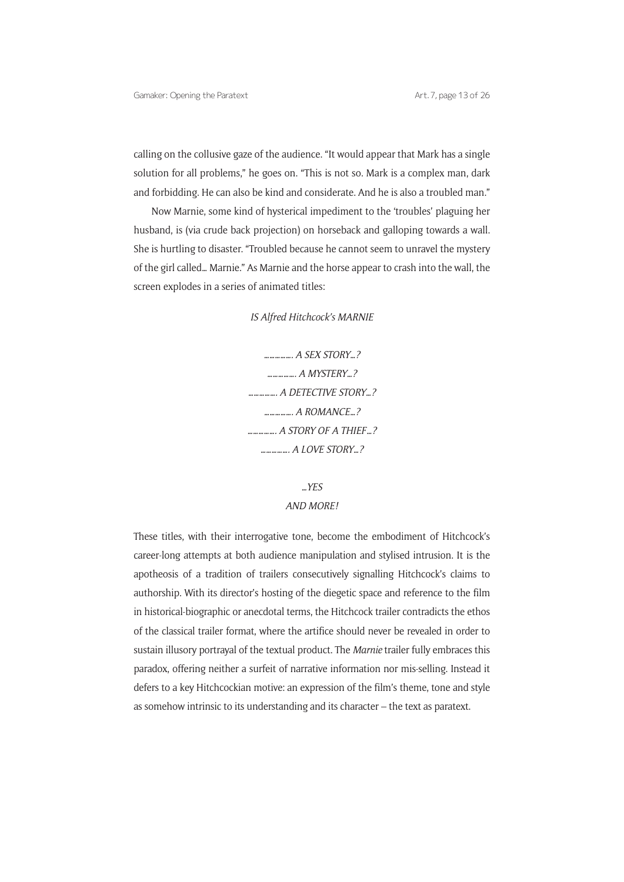calling on the collusive gaze of the audience. "It would appear that Mark has a single solution for all problems," he goes on. "This is not so. Mark is a complex man, dark and forbidding. He can also be kind and considerate. And he is also a troubled man."

Now Marnie, some kind of hysterical impediment to the 'troubles' plaguing her husband, is (via crude back projection) on horseback and galloping towards a wall. She is hurtling to disaster. "Troubled because he cannot seem to unravel the mystery of the girl called… Marnie." As Marnie and the horse appear to crash into the wall, the screen explodes in a series of animated titles:

*IS Alfred Hitchcock's MARNIE*

*……………. A SEX STORY…? ……………. A MYSTERY…? ……………. A DETECTIVE STORY…? ……………. A ROMANCE…? ……………. A STORY OF A THIEF…? ……………. A LOVE STORY…?*

## *…YES AND MORE!*

These titles, with their interrogative tone, become the embodiment of Hitchcock's career-long attempts at both audience manipulation and stylised intrusion. It is the apotheosis of a tradition of trailers consecutively signalling Hitchcock's claims to authorship. With its director's hosting of the diegetic space and reference to the film in historical-biographic or anecdotal terms, the Hitchcock trailer contradicts the ethos of the classical trailer format, where the artifice should never be revealed in order to sustain illusory portrayal of the textual product. The *Marnie* trailer fully embraces this paradox, offering neither a surfeit of narrative information nor mis-selling. Instead it defers to a key Hitchcockian motive: an expression of the film's theme, tone and style as somehow intrinsic to its understanding and its character – the text as paratext.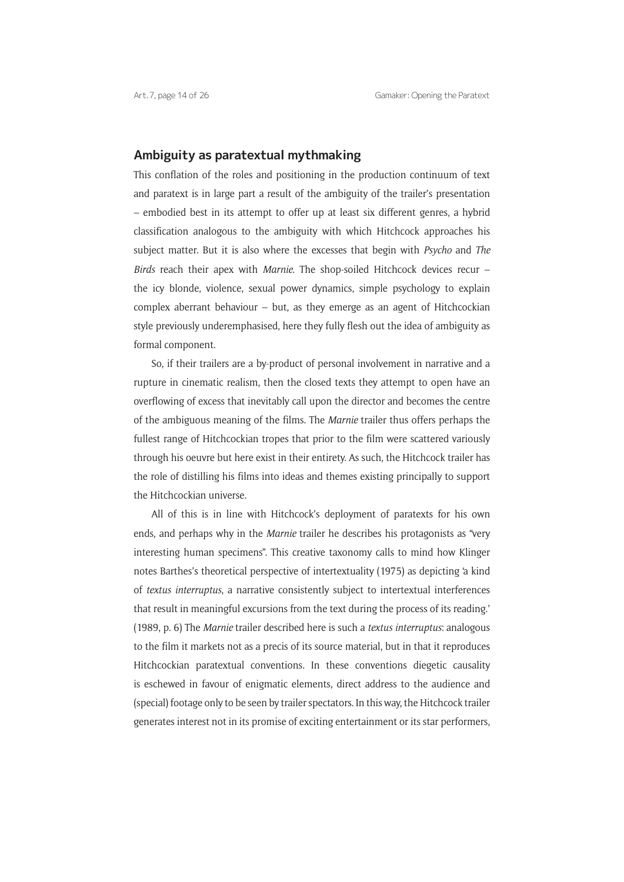### **Ambiguity as paratextual mythmaking**

This conflation of the roles and positioning in the production continuum of text and paratext is in large part a result of the ambiguity of the trailer's presentation – embodied best in its attempt to offer up at least six different genres, a hybrid classification analogous to the ambiguity with which Hitchcock approaches his subject matter. But it is also where the excesses that begin with *Psycho* and *The Birds* reach their apex with *Marnie*. The shop-soiled Hitchcock devices recur – the icy blonde, violence, sexual power dynamics, simple psychology to explain complex aberrant behaviour – but, as they emerge as an agent of Hitchcockian style previously underemphasised, here they fully flesh out the idea of ambiguity as formal component.

So, if their trailers are a by-product of personal involvement in narrative and a rupture in cinematic realism, then the closed texts they attempt to open have an overflowing of excess that inevitably call upon the director and becomes the centre of the ambiguous meaning of the films. The *Marnie* trailer thus offers perhaps the fullest range of Hitchcockian tropes that prior to the film were scattered variously through his oeuvre but here exist in their entirety. As such, the Hitchcock trailer has the role of distilling his films into ideas and themes existing principally to support the Hitchcockian universe.

All of this is in line with Hitchcock's deployment of paratexts for his own ends, and perhaps why in the *Marnie* trailer he describes his protagonists as "very interesting human specimens". This creative taxonomy calls to mind how Klinger notes Barthes's theoretical perspective of intertextuality (1975) as depicting 'a kind of *textus interruptus*, a narrative consistently subject to intertextual interferences that result in meaningful excursions from the text during the process of its reading.' (1989, p. 6) The *Marnie* trailer described here is such a *textus interruptus*: analogous to the film it markets not as a precis of its source material, but in that it reproduces Hitchcockian paratextual conventions. In these conventions diegetic causality is eschewed in favour of enigmatic elements, direct address to the audience and (special) footage only to be seen by trailer spectators. In this way, the Hitchcock trailer generates interest not in its promise of exciting entertainment or its star performers,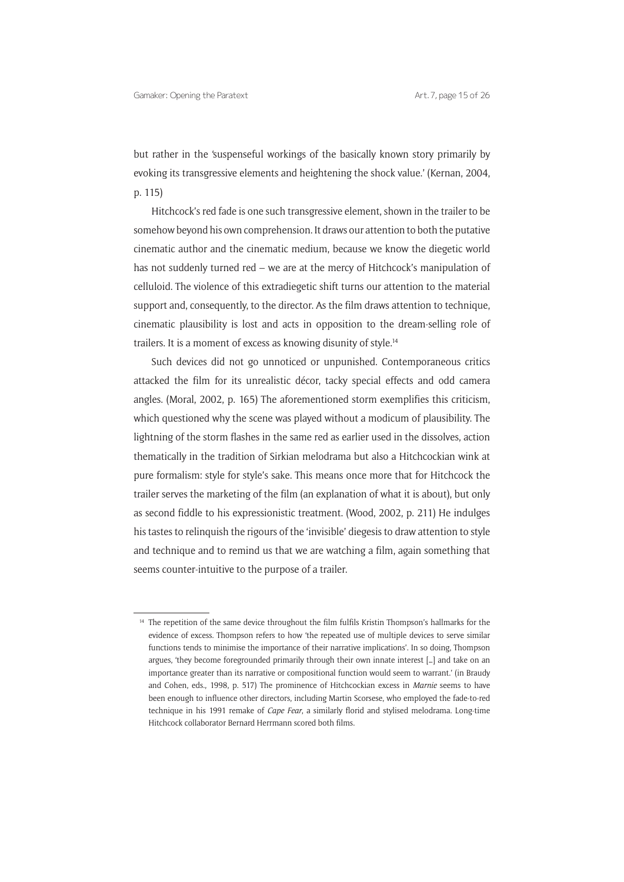but rather in the 'suspenseful workings of the basically known story primarily by evoking its transgressive elements and heightening the shock value.' (Kernan, 2004, p. 115)

Hitchcock's red fade is one such transgressive element, shown in the trailer to be somehow beyond his own comprehension. It draws our attention to both the putative cinematic author and the cinematic medium, because we know the diegetic world has not suddenly turned red – we are at the mercy of Hitchcock's manipulation of celluloid. The violence of this extradiegetic shift turns our attention to the material support and, consequently, to the director. As the film draws attention to technique, cinematic plausibility is lost and acts in opposition to the dream-selling role of trailers. It is a moment of excess as knowing disunity of style.14

Such devices did not go unnoticed or unpunished. Contemporaneous critics attacked the film for its unrealistic décor, tacky special effects and odd camera angles. (Moral, 2002, p. 165) The aforementioned storm exemplifies this criticism, which questioned why the scene was played without a modicum of plausibility. The lightning of the storm flashes in the same red as earlier used in the dissolves, action thematically in the tradition of Sirkian melodrama but also a Hitchcockian wink at pure formalism: style for style's sake. This means once more that for Hitchcock the trailer serves the marketing of the film (an explanation of what it is about), but only as second fiddle to his expressionistic treatment. (Wood, 2002, p. 211) He indulges his tastes to relinquish the rigours of the 'invisible' diegesis to draw attention to style and technique and to remind us that we are watching a film, again something that seems counter-intuitive to the purpose of a trailer.

<sup>&</sup>lt;sup>14</sup> The repetition of the same device throughout the film fulfils Kristin Thompson's hallmarks for the evidence of excess. Thompson refers to how 'the repeated use of multiple devices to serve similar functions tends to minimise the importance of their narrative implications'. In so doing, Thompson argues, 'they become foregrounded primarily through their own innate interest […] and take on an importance greater than its narrative or compositional function would seem to warrant.' (in Braudy and Cohen, eds., 1998, p. 517) The prominence of Hitchcockian excess in *Marnie* seems to have been enough to influence other directors, including Martin Scorsese, who employed the fade-to-red technique in his 1991 remake of *Cape Fear*, a similarly florid and stylised melodrama. Long-time Hitchcock collaborator Bernard Herrmann scored both films.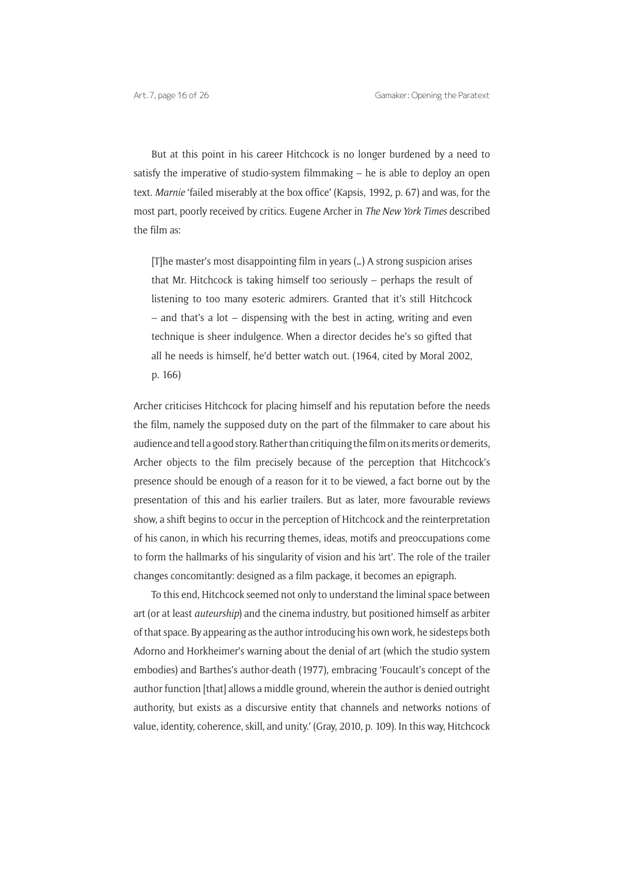But at this point in his career Hitchcock is no longer burdened by a need to satisfy the imperative of studio-system filmmaking  $-$  he is able to deploy an open text. *Marnie* 'failed miserably at the box office' (Kapsis, 1992, p. 67) and was, for the most part, poorly received by critics. Eugene Archer in *The New York Times* described the film as:

[T]he master's most disappointing film in years (…) A strong suspicion arises that Mr. Hitchcock is taking himself too seriously – perhaps the result of listening to too many esoteric admirers. Granted that it's still Hitchcock – and that's a lot – dispensing with the best in acting, writing and even technique is sheer indulgence. When a director decides he's so gifted that all he needs is himself, he'd better watch out. (1964, cited by Moral 2002, p. 166)

Archer criticises Hitchcock for placing himself and his reputation before the needs the film, namely the supposed duty on the part of the filmmaker to care about his audience and tell a good story. Rather than critiquing the film on its merits or demerits, Archer objects to the film precisely because of the perception that Hitchcock's presence should be enough of a reason for it to be viewed, a fact borne out by the presentation of this and his earlier trailers. But as later, more favourable reviews show, a shift begins to occur in the perception of Hitchcock and the reinterpretation of his canon, in which his recurring themes, ideas, motifs and preoccupations come to form the hallmarks of his singularity of vision and his 'art'. The role of the trailer changes concomitantly: designed as a film package, it becomes an epigraph.

To this end, Hitchcock seemed not only to understand the liminal space between art (or at least *auteurship*) and the cinema industry, but positioned himself as arbiter of that space. By appearing as the author introducing his own work, he sidesteps both Adorno and Horkheimer's warning about the denial of art (which the studio system embodies) and Barthes's author-death (1977), embracing 'Foucault's concept of the author function [that] allows a middle ground, wherein the author is denied outright authority, but exists as a discursive entity that channels and networks notions of value, identity, coherence, skill, and unity.' (Gray, 2010, p. 109). In this way, Hitchcock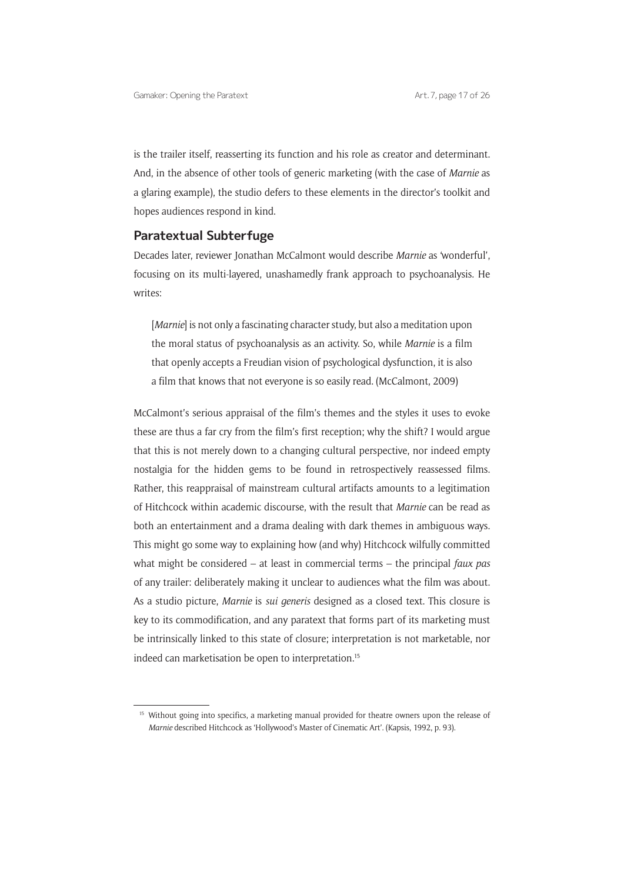is the trailer itself, reasserting its function and his role as creator and determinant. And, in the absence of other tools of generic marketing (with the case of *Marnie* as a glaring example), the studio defers to these elements in the director's toolkit and hopes audiences respond in kind.

### **Paratextual Subterfuge**

Decades later, reviewer Jonathan McCalmont would describe *Marnie* as 'wonderful', focusing on its multi-layered, unashamedly frank approach to psychoanalysis. He writes:

[*Marnie*] is not only a fascinating character study, but also a meditation upon the moral status of psychoanalysis as an activity. So, while *Marnie* is a film that openly accepts a Freudian vision of psychological dysfunction, it is also a film that knows that not everyone is so easily read. (McCalmont, 2009)

McCalmont's serious appraisal of the film's themes and the styles it uses to evoke these are thus a far cry from the film's first reception; why the shift? I would argue that this is not merely down to a changing cultural perspective, nor indeed empty nostalgia for the hidden gems to be found in retrospectively reassessed films. Rather, this reappraisal of mainstream cultural artifacts amounts to a legitimation of Hitchcock within academic discourse, with the result that *Marnie* can be read as both an entertainment and a drama dealing with dark themes in ambiguous ways. This might go some way to explaining how (and why) Hitchcock wilfully committed what might be considered – at least in commercial terms – the principal *faux pas* of any trailer: deliberately making it unclear to audiences what the film was about. As a studio picture, *Marnie* is *sui generis* designed as a closed text. This closure is key to its commodification, and any paratext that forms part of its marketing must be intrinsically linked to this state of closure; interpretation is not marketable, nor indeed can marketisation be open to interpretation.15

<sup>&</sup>lt;sup>15</sup> Without going into specifics, a marketing manual provided for theatre owners upon the release of *Marnie* described Hitchcock as 'Hollywood's Master of Cinematic Art'. (Kapsis, 1992, p. 93).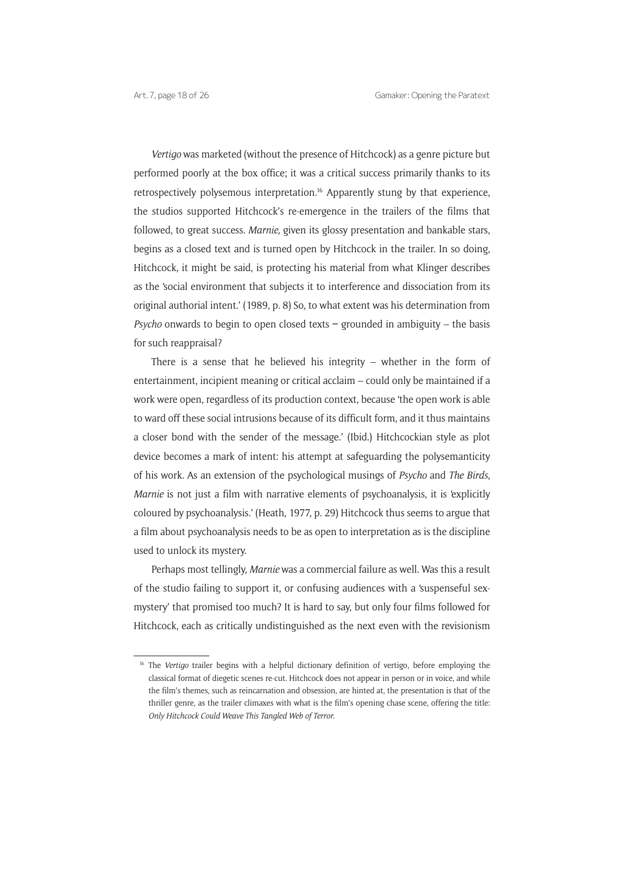*Vertigo* was marketed (without the presence of Hitchcock) as a genre picture but performed poorly at the box office; it was a critical success primarily thanks to its retrospectively polysemous interpretation.16 Apparently stung by that experience, the studios supported Hitchcock's re-emergence in the trailers of the films that followed, to great success. *Marnie,* given its glossy presentation and bankable stars, begins as a closed text and is turned open by Hitchcock in the trailer. In so doing, Hitchcock, it might be said, is protecting his material from what Klinger describes as the 'social environment that subjects it to interference and dissociation from its original authorial intent.' (1989, p. 8) So, to what extent was his determination from *Psycho* onwards to begin to open closed texts **–** grounded in ambiguity – the basis for such reappraisal?

There is a sense that he believed his integrity – whether in the form of entertainment, incipient meaning or critical acclaim – could only be maintained if a work were open, regardless of its production context, because 'the open work is able to ward off these social intrusions because of its difficult form, and it thus maintains a closer bond with the sender of the message.' (Ibid.) Hitchcockian style as plot device becomes a mark of intent: his attempt at safeguarding the polysemanticity of his work. As an extension of the psychological musings of *Psycho* and *The Birds*, *Marnie* is not just a film with narrative elements of psychoanalysis, it is 'explicitly coloured by psychoanalysis.' (Heath, 1977, p. 29) Hitchcock thus seems to argue that a film about psychoanalysis needs to be as open to interpretation as is the discipline used to unlock its mystery.

Perhaps most tellingly, *Marnie* was a commercial failure as well. Was this a result of the studio failing to support it, or confusing audiences with a 'suspenseful sexmystery' that promised too much? It is hard to say, but only four films followed for Hitchcock, each as critically undistinguished as the next even with the revisionism

<sup>&</sup>lt;sup>16</sup> The *Vertigo* trailer begins with a helpful dictionary definition of vertigo, before employing the classical format of diegetic scenes re-cut. Hitchcock does not appear in person or in voice, and while the film's themes, such as reincarnation and obsession, are hinted at, the presentation is that of the thriller genre, as the trailer climaxes with what is the film's opening chase scene, offering the title: *Only Hitchcock Could Weave This Tangled Web of Terror.*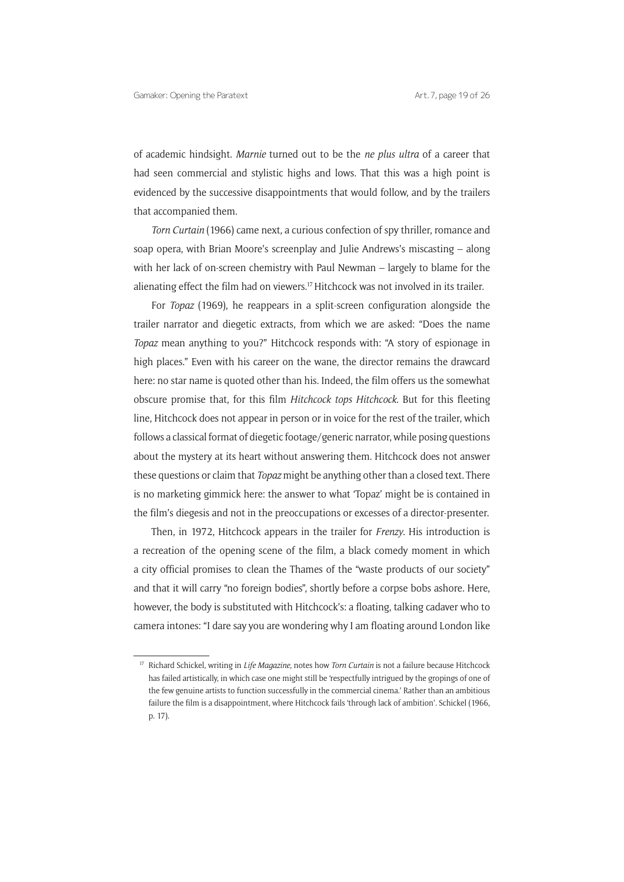of academic hindsight. *Marnie* turned out to be the *ne plus ultra* of a career that had seen commercial and stylistic highs and lows. That this was a high point is evidenced by the successive disappointments that would follow, and by the trailers that accompanied them.

*Torn Curtain* (1966) came next*,* a curious confection of spy thriller, romance and soap opera, with Brian Moore's screenplay and Julie Andrews's miscasting – along with her lack of on-screen chemistry with Paul Newman – largely to blame for the alienating effect the film had on viewers.<sup>17</sup> Hitchcock was not involved in its trailer.

For *Topaz* (1969), he reappears in a split-screen configuration alongside the trailer narrator and diegetic extracts, from which we are asked: "Does the name *Topaz* mean anything to you?" Hitchcock responds with: "A story of espionage in high places." Even with his career on the wane, the director remains the drawcard here: no star name is quoted other than his. Indeed, the film offers us the somewhat obscure promise that, for this film *Hitchcock tops Hitchcock*. But for this fleeting line, Hitchcock does not appear in person or in voice for the rest of the trailer, which follows a classical format of diegetic footage/generic narrator, while posing questions about the mystery at its heart without answering them. Hitchcock does not answer these questions or claim that *Topaz* might be anything other than a closed text. There is no marketing gimmick here: the answer to what 'Topaz' might be is contained in the film's diegesis and not in the preoccupations or excesses of a director-presenter.

Then, in 1972, Hitchcock appears in the trailer for *Frenzy*. His introduction is a recreation of the opening scene of the film, a black comedy moment in which a city official promises to clean the Thames of the "waste products of our society" and that it will carry "no foreign bodies", shortly before a corpse bobs ashore. Here, however, the body is substituted with Hitchcock's: a floating, talking cadaver who to camera intones: "I dare say you are wondering why I am floating around London like

<sup>17</sup> Richard Schickel, writing in *Life Magazine,* notes how *Torn Curtain* is not a failure because Hitchcock has failed artistically, in which case one might still be 'respectfully intrigued by the gropings of one of the few genuine artists to function successfully in the commercial cinema.' Rather than an ambitious failure the film is a disappointment, where Hitchcock fails 'through lack of ambition'. Schickel (1966, p. 17).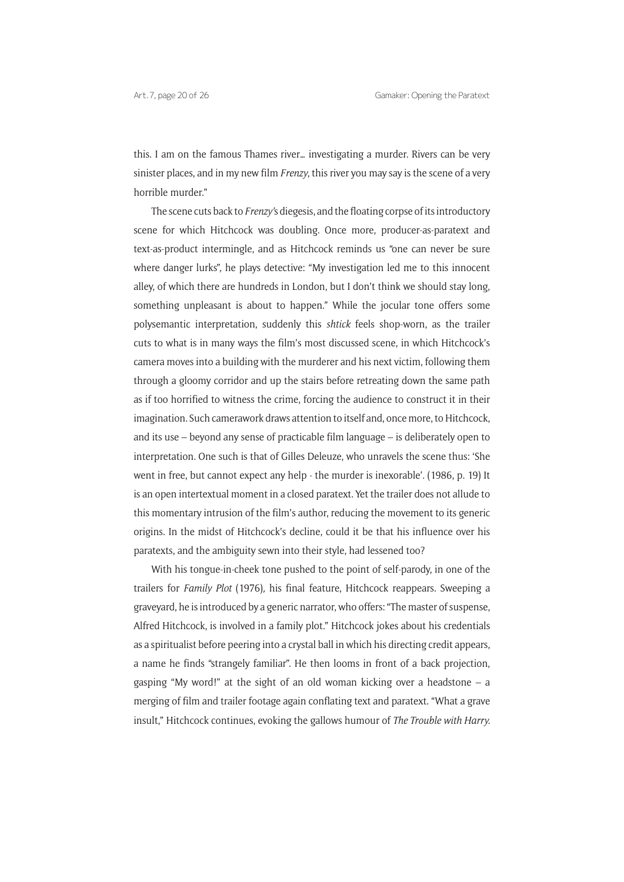this. I am on the famous Thames river… investigating a murder. Rivers can be very sinister places, and in my new film *Frenzy*, this river you may say is the scene of a very horrible murder."

The scene cuts back to *Frenzy'*s diegesis, and the floating corpse of its introductory scene for which Hitchcock was doubling. Once more, producer-as-paratext and text-as-product intermingle, and as Hitchcock reminds us "one can never be sure where danger lurks", he plays detective: "My investigation led me to this innocent alley, of which there are hundreds in London, but I don't think we should stay long, something unpleasant is about to happen." While the jocular tone offers some polysemantic interpretation, suddenly this *shtick* feels shop-worn, as the trailer cuts to what is in many ways the film's most discussed scene, in which Hitchcock's camera moves into a building with the murderer and his next victim, following them through a gloomy corridor and up the stairs before retreating down the same path as if too horrified to witness the crime, forcing the audience to construct it in their imagination. Such camerawork draws attention to itself and, once more, to Hitchcock, and its use – beyond any sense of practicable film language – is deliberately open to interpretation. One such is that of Gilles Deleuze, who unravels the scene thus: 'She went in free, but cannot expect any help - the murder is inexorable'. (1986, p. 19) It is an open intertextual moment in a closed paratext. Yet the trailer does not allude to this momentary intrusion of the film's author, reducing the movement to its generic origins. In the midst of Hitchcock's decline, could it be that his influence over his paratexts, and the ambiguity sewn into their style, had lessened too?

With his tongue-in-cheek tone pushed to the point of self-parody, in one of the trailers for *Family Plot* (1976)*,* his final feature, Hitchcock reappears. Sweeping a graveyard, he is introduced by a generic narrator, who offers: "The master of suspense, Alfred Hitchcock, is involved in a family plot." Hitchcock jokes about his credentials as a spiritualist before peering into a crystal ball in which his directing credit appears, a name he finds "strangely familiar". He then looms in front of a back projection, gasping "My word!" at the sight of an old woman kicking over a headstone – a merging of film and trailer footage again conflating text and paratext. "What a grave insult," Hitchcock continues, evoking the gallows humour of *The Trouble with Harry.*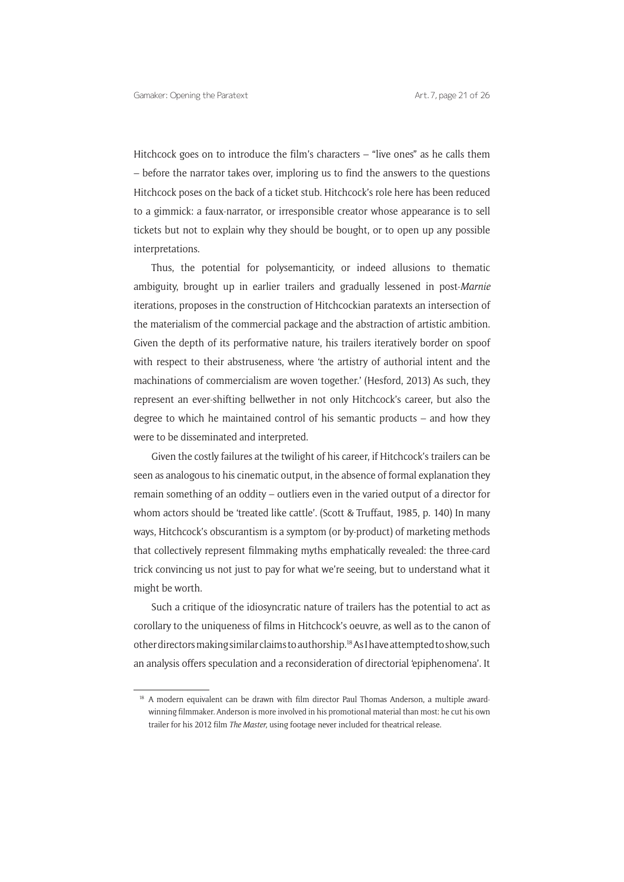Hitchcock goes on to introduce the film's characters – "live ones" as he calls them – before the narrator takes over, imploring us to find the answers to the questions Hitchcock poses on the back of a ticket stub. Hitchcock's role here has been reduced to a gimmick: a faux-narrator, or irresponsible creator whose appearance is to sell tickets but not to explain why they should be bought, or to open up any possible interpretations.

Thus, the potential for polysemanticity, or indeed allusions to thematic ambiguity, brought up in earlier trailers and gradually lessened in post-*Marnie*  iterations, proposes in the construction of Hitchcockian paratexts an intersection of the materialism of the commercial package and the abstraction of artistic ambition. Given the depth of its performative nature, his trailers iteratively border on spoof with respect to their abstruseness, where 'the artistry of authorial intent and the machinations of commercialism are woven together.' (Hesford, 2013) As such, they represent an ever-shifting bellwether in not only Hitchcock's career, but also the degree to which he maintained control of his semantic products – and how they were to be disseminated and interpreted.

Given the costly failures at the twilight of his career, if Hitchcock's trailers can be seen as analogous to his cinematic output, in the absence of formal explanation they remain something of an oddity – outliers even in the varied output of a director for whom actors should be 'treated like cattle'. (Scott & Truffaut, 1985, p. 140) In many ways, Hitchcock's obscurantism is a symptom (or by-product) of marketing methods that collectively represent filmmaking myths emphatically revealed: the three-card trick convincing us not just to pay for what we're seeing, but to understand what it might be worth.

Such a critique of the idiosyncratic nature of trailers has the potential to act as corollary to the uniqueness of films in Hitchcock's oeuvre*,* as well as to the canon of other directors making similar claims to authorship.18 As I have attempted to show, such an analysis offers speculation and a reconsideration of directorial 'epiphenomena'. It

<sup>&</sup>lt;sup>18</sup> A modern equivalent can be drawn with film director Paul Thomas Anderson, a multiple awardwinning filmmaker. Anderson is more involved in his promotional material than most: he cut his own trailer for his 2012 film *The Master,* using footage never included for theatrical release.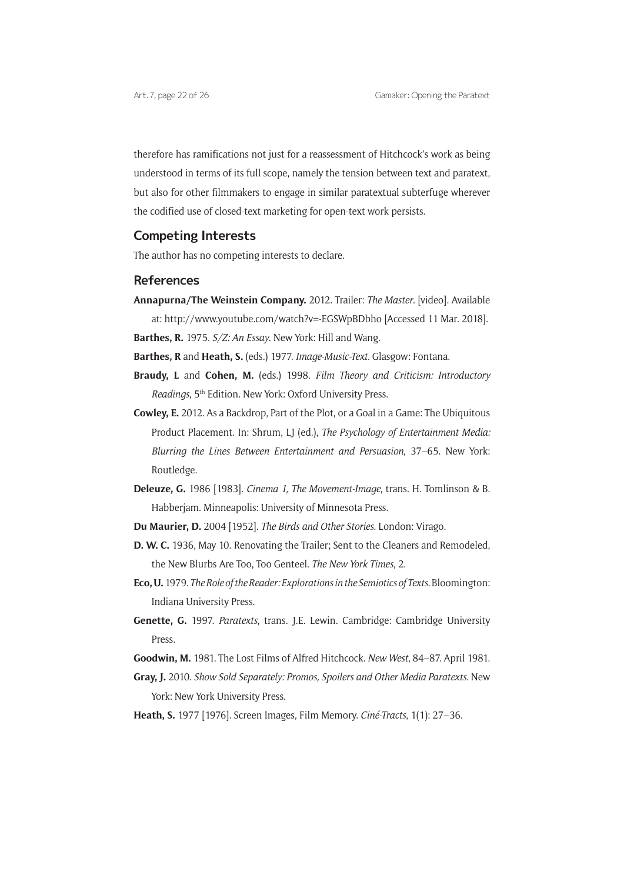therefore has ramifications not just for a reassessment of Hitchcock's work as being understood in terms of its full scope, namely the tension between text and paratext, but also for other filmmakers to engage in similar paratextual subterfuge wherever the codified use of closed-text marketing for open-text work persists.

### **Competing Interests**

The author has no competing interests to declare.

### **References**

**Annapurna/The Weinstein Company.** 2012. Trailer: *The Master*. [video]. Available at: http://www.youtube.com/watch?v=-EGSWpBDbho [Accessed 11 Mar. 2018].

**Barthes, R.** 1975. *S/Z: An Essay*. New York: Hill and Wang.

**Barthes, R** and **Heath, S.** (eds.) 1977. *Image-Music-Text*. Glasgow: Fontana.

- **Braudy, L** and **Cohen, M.** (eds.) 1998. *Film Theory and Criticism: Introductory Readings*, 5<sup>th</sup> Edition. New York: Oxford University Press.
- **Cowley, E.** 2012. As a Backdrop, Part of the Plot, or a Goal in a Game: The Ubiquitous Product Placement. In: Shrum, LJ (ed.), *The Psychology of Entertainment Media: Blurring the Lines Between Entertainment and Persuasion*, 37–65. New York: Routledge.
- **Deleuze, G.** 1986 [1983]. *Cinema 1, The Movement-Image*, trans. H. Tomlinson & B. Habberjam. Minneapolis: University of Minnesota Press.
- **Du Maurier, D.** 2004 [1952]. *The Birds and Other Stories.* London: Virago.
- **D. W. C.** 1936, May 10. Renovating the Trailer; Sent to the Cleaners and Remodeled, the New Blurbs Are Too, Too Genteel. *The New York Times*, 2.
- **Eco, U.** 1979. *The Role of the Reader: Explorations in the Semiotics of Texts*.Bloomington: Indiana University Press.
- **Genette, G.** 1997. *Paratexts*, trans. J.E. Lewin. Cambridge: Cambridge University Press.
- **Goodwin, M.** 1981. The Lost Films of Alfred Hitchcock. *New West*, 84–87. April 1981.
- **Gray, J.** 2010. *Show Sold Separately: Promos, Spoilers and Other Media Paratexts*. New York: New York University Press.
- **Heath, S.** 1977 [1976]. Screen Images, Film Memory. *Ciné-Tracts*, 1(1): 27–36.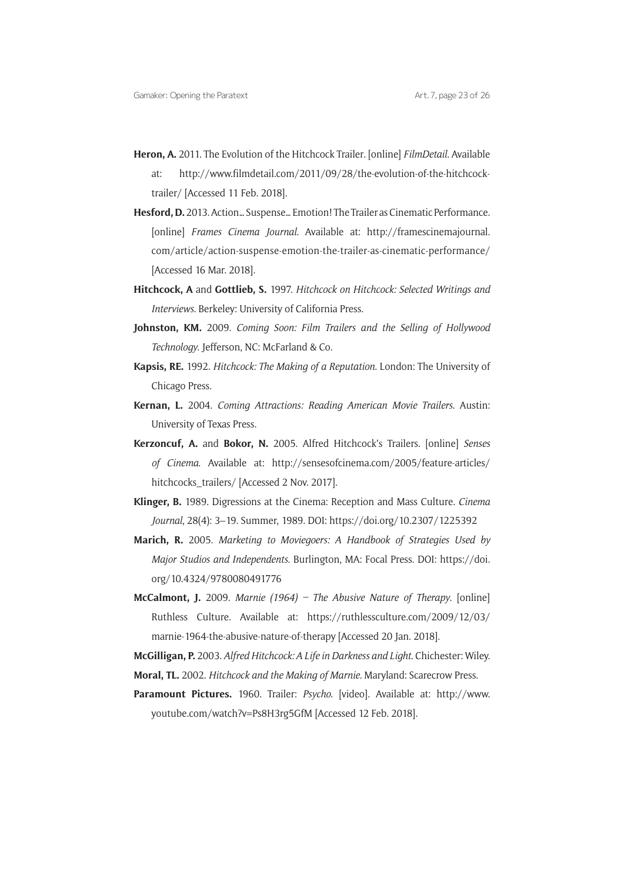- **Heron, A.** 2011. The Evolution of the Hitchcock Trailer*.* [online] *FilmDetail*. Available at: http://www.filmdetail.com/2011/09/28/the-evolution-of-the-hitchcocktrailer/ [Accessed 11 Feb. 2018].
- **Hesford, D.** 2013. Action… Suspense… Emotion! The Trailer as Cinematic Performance. [online] *Frames Cinema Journal*. Available at: http://framescinemajournal. com/article/action-suspense-emotion-the-trailer-as-cinematic-performance/ [Accessed 16 Mar. 2018].
- **Hitchcock, A** and **Gottlieb, S.** 1997. *Hitchcock on Hitchcock: Selected Writings and Interviews*. Berkeley: University of California Press.
- **Johnston, KM.** 2009. *Coming Soon: Film Trailers and the Selling of Hollywood Technology*. Jefferson, NC: McFarland & Co.
- **Kapsis, RE.** 1992. *Hitchcock: The Making of a Reputation*. London: The University of Chicago Press.
- **Kernan, L.** 2004. *Coming Attractions: Reading American Movie Trailers*. Austin: University of Texas Press.
- **Kerzoncuf, A.** and **Bokor, N.** 2005. Alfred Hitchcock's Trailers. [online] *Senses of Cinema*. Available at: http://sensesofcinema.com/2005/feature-articles/ hitchcocks\_trailers/ [Accessed 2 Nov. 2017].
- **Klinger, B.** 1989. Digressions at the Cinema: Reception and Mass Culture. *Cinema Journal*, 28(4): 3–19. Summer, 1989. DOI: https://doi.org/10.2307/1225392
- **Marich, R.** 2005. *Marketing to Moviegoers: A Handbook of Strategies Used by Major Studios and Independents*. Burlington, MA: Focal Press. DOI: https://doi. org/10.4324/9780080491776
- **McCalmont, J.** 2009. *Marnie (1964) The Abusive Nature of Therapy*. [online] Ruthless Culture. Available at: https://ruthlessculture.com/2009/12/03/ marnie-1964-the-abusive-nature-of-therapy [Accessed 20 Jan. 2018].
- **McGilligan, P.** 2003. *Alfred Hitchcock: A Life in Darkness and Light*. Chichester: Wiley. **Moral, TL.** 2002. *Hitchcock and the Making of Marnie.* Maryland: Scarecrow Press.
- **Paramount Pictures.** 1960. Trailer: *Psycho*. [video]. Available at: http://www. youtube.com/watch?v=Ps8H3rg5GfM [Accessed 12 Feb. 2018].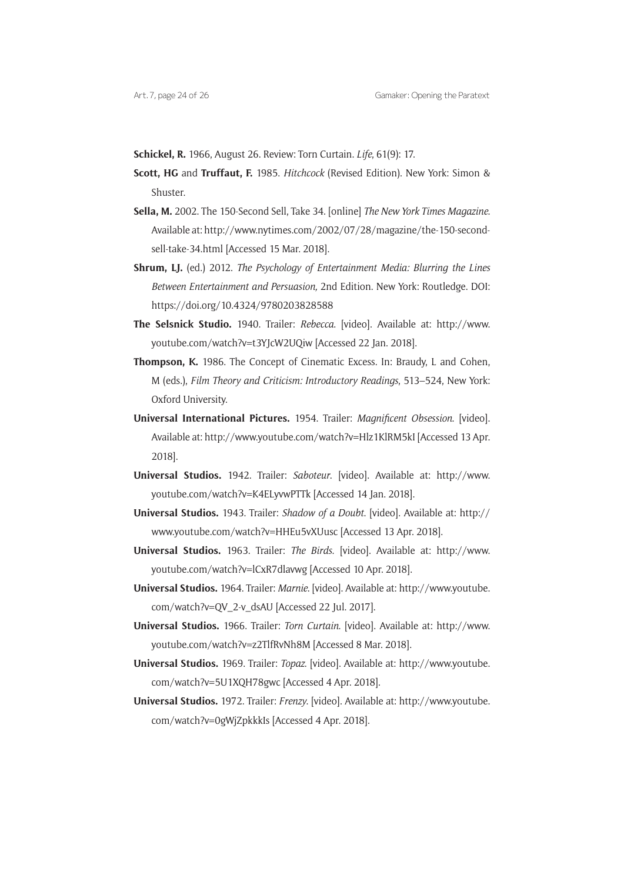**Schickel, R.** 1966, August 26. Review: Torn Curtain. *Life*, 61(9): 17.

- **Scott, HG** and **Truffaut, F.** 1985. *Hitchcock* (Revised Edition). New York: Simon & Shuster.
- **Sella, M.** 2002. The 150-Second Sell, Take 34. [online] *The New York Times Magazine*. Available at: http://www.nytimes.com/2002/07/28/magazine/the-150-secondsell-take-34.html [Accessed 15 Mar. 2018].
- **Shrum, LJ.** (ed.) 2012. *The Psychology of Entertainment Media: Blurring the Lines Between Entertainment and Persuasion,* 2nd Edition. New York: Routledge. DOI: https://doi.org/10.4324/9780203828588
- **The Selsnick Studio.** 1940. Trailer: *Rebecca*. [video]. Available at: http://www. youtube.com/watch?v=t3YJcW2UQiw [Accessed 22 Jan. 2018].
- **Thompson, K.** 1986. The Concept of Cinematic Excess. In: Braudy, L and Cohen, M (eds.), *Film Theory and Criticism: Introductory Readings*, 513–524, New York: Oxford University.
- **Universal International Pictures.** 1954. Trailer: *Magnificent Obsession*. [video]. Available at: http://www.youtube.com/watch?v=Hlz1KlRM5kI [Accessed 13 Apr. 2018].
- **Universal Studios.** 1942. Trailer: *Saboteur*. [video]. Available at: http://www. youtube.com/watch?v=K4ELyvwPTTk [Accessed 14 Jan. 2018].
- **Universal Studios.** 1943. Trailer: *Shadow of a Doubt*. [video]. Available at: http:// www.youtube.com/watch?v=HHEu5vXUusc [Accessed 13 Apr. 2018].
- **Universal Studios.** 1963. Trailer: *The Birds*. [video]. Available at: http://www. youtube.com/watch?v=lCxR7dlavwg [Accessed 10 Apr. 2018].
- **Universal Studios.** 1964. Trailer: *Marnie*. [video]. Available at: http://www.youtube. com/watch?v=QV\_2-v\_dsAU [Accessed 22 Jul. 2017].
- **Universal Studios.** 1966. Trailer: *Torn Curtain*. [video]. Available at: http://www. youtube.com/watch?v=z2TlfRvNh8M [Accessed 8 Mar. 2018].
- **Universal Studios.** 1969. Trailer: *Topaz*. [video]. Available at: http://www.youtube. com/watch?v=5U1XQH78gwc [Accessed 4 Apr. 2018].
- **Universal Studios.** 1972. Trailer: *Frenzy*. [video]. Available at: http://www.youtube. com/watch?v=0gWjZpkkkIs [Accessed 4 Apr. 2018].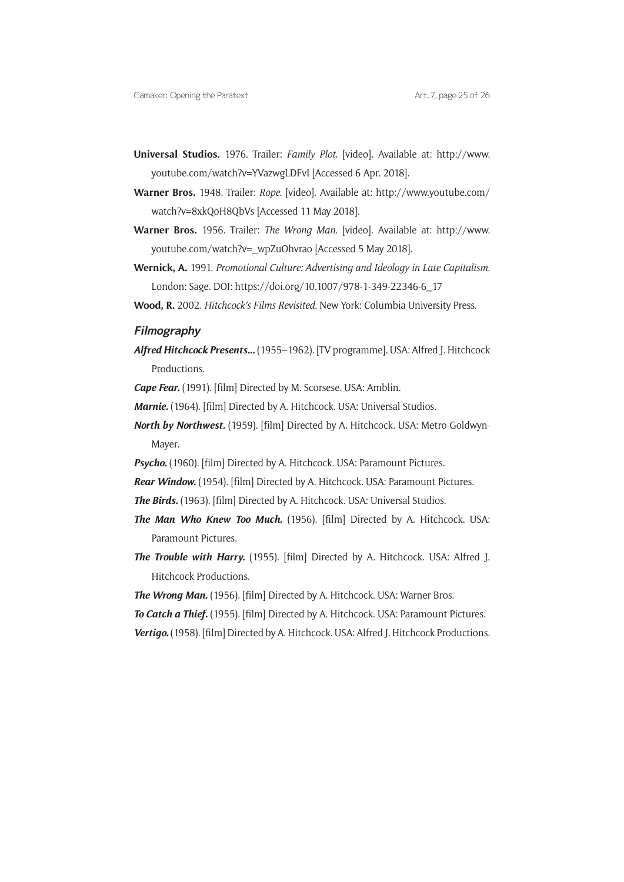- **Universal Studios.** 1976. Trailer: *Family Plot*. [video]. Available at: http://www. youtube.com/watch?v=YVazwgLDFvI [Accessed 6 Apr. 2018].
- **Warner Bros.** 1948. Trailer: *Rope*. [video]. Available at: http://www.youtube.com/ watch?v=8xkQoH8QbVs [Accessed 11 May 2018].
- **Warner Bros.** 1956. Trailer: *The Wrong Man*. [video]. Available at: http://www. youtube.com/watch?v=\_wpZuOhvrao [Accessed 5 May 2018].
- **Wernick, A.** 1991. *Promotional Culture: Advertising and Ideology in Late Capitalism*. London: Sage. DOI: https://doi.org/10.1007/978-1-349-22346-6\_17
- **Wood, R.** 2002. *Hitchcock's Films Revisited*. New York: Columbia University Press.

### **Filmography**

*Alfred Hitchcock Presents…* (1955–1962). [TV programme]. USA: Alfred J. Hitchcock Productions.

*Cape Fear.* (1991). [film] Directed by M. Scorsese. USA: Amblin.

- *Marnie.* (1964). [film] Directed by A. Hitchcock. USA: Universal Studios.
- *North by Northwest.* (1959). [film] Directed by A. Hitchcock. USA: Metro-Goldwyn-Mayer.
- **Psycho.** (1960). [film] Directed by A. Hitchcock. USA: Paramount Pictures.
- *Rear Window.* (1954). [film] Directed by A. Hitchcock. USA: Paramount Pictures.
- *The Birds.* (1963). [film] Directed by A. Hitchcock. USA: Universal Studios.
- *The Man Who Knew Too Much.* (1956). [film] Directed by A. Hitchcock. USA: Paramount Pictures.
- *The Trouble with Harry.* (1955). [film] Directed by A. Hitchcock. USA: Alfred J. Hitchcock Productions.
- The Wrong Man. (1956). [film] Directed by A. Hitchcock. USA: Warner Bros.
- *To Catch a Thief.* (1955). [film] Directed by A. Hitchcock. USA: Paramount Pictures.
- Vertigo. (1958). [film] Directed by A. Hitchcock. USA: Alfred J. Hitchcock Productions.